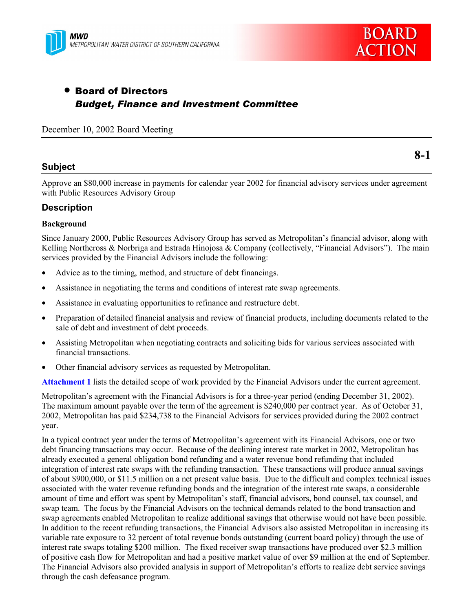



# • Board of Directors *Budget, Finance and Investment Committee*

December 10, 2002 Board Meeting

#### **Subject**

**8-1**

Approve an \$80,000 increase in payments for calendar year 2002 for financial advisory services under agreement with Public Resources Advisory Group

### **Description**

#### **Background**

Since January 2000, Public Resources Advisory Group has served as Metropolitan's financial advisor, along with Kelling Northcross  $\&$  Norbriga and Estrada Hinojosa  $\&$  Company (collectively, "Financial Advisors"). The main services provided by the Financial Advisors include the following:

- Advice as to the timing, method, and structure of debt financings.
- Assistance in negotiating the terms and conditions of interest rate swap agreements.
- Assistance in evaluating opportunities to refinance and restructure debt.
- Preparation of detailed financial analysis and review of financial products, including documents related to the sale of debt and investment of debt proceeds.
- Assisting Metropolitan when negotiating contracts and soliciting bids for various services associated with financial transactions.
- Other financial advisory services as requested by Metropolitan.

**Attachment 1** lists the detailed scope of work provided by the Financial Advisors under the current agreement.

Metropolitan's agreement with the Financial Advisors is for a three-year period (ending December 31, 2002). The maximum amount payable over the term of the agreement is \$240,000 per contract year. As of October 31, 2002, Metropolitan has paid \$234,738 to the Financial Advisors for services provided during the 2002 contract year.

In a typical contract year under the terms of Metropolitanís agreement with its Financial Advisors, one or two debt financing transactions may occur. Because of the declining interest rate market in 2002, Metropolitan has already executed a general obligation bond refunding and a water revenue bond refunding that included integration of interest rate swaps with the refunding transaction. These transactions will produce annual savings of about \$900,000, or \$11.5 million on a net present value basis. Due to the difficult and complex technical issues associated with the water revenue refunding bonds and the integration of the interest rate swaps, a considerable amount of time and effort was spent by Metropolitan's staff, financial advisors, bond counsel, tax counsel, and swap team. The focus by the Financial Advisors on the technical demands related to the bond transaction and swap agreements enabled Metropolitan to realize additional savings that otherwise would not have been possible. In addition to the recent refunding transactions, the Financial Advisors also assisted Metropolitan in increasing its variable rate exposure to 32 percent of total revenue bonds outstanding (current board policy) through the use of interest rate swaps totaling \$200 million. The fixed receiver swap transactions have produced over \$2.3 million of positive cash flow for Metropolitan and had a positive market value of over \$9 million at the end of September. The Financial Advisors also provided analysis in support of Metropolitan's efforts to realize debt service savings through the cash defeasance program.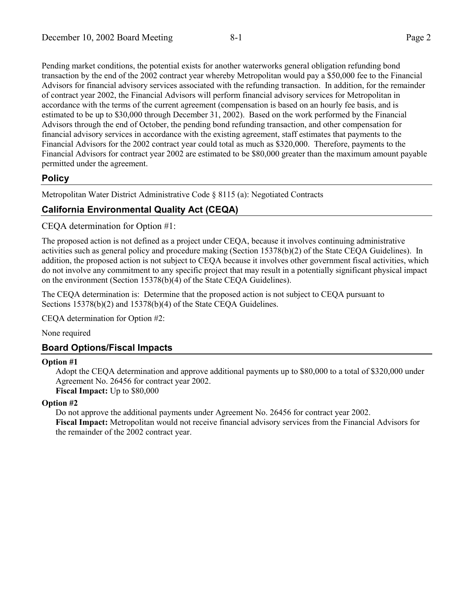Pending market conditions, the potential exists for another waterworks general obligation refunding bond transaction by the end of the 2002 contract year whereby Metropolitan would pay a \$50,000 fee to the Financial Advisors for financial advisory services associated with the refunding transaction. In addition, for the remainder of contract year 2002, the Financial Advisors will perform financial advisory services for Metropolitan in accordance with the terms of the current agreement (compensation is based on an hourly fee basis, and is estimated to be up to \$30,000 through December 31, 2002). Based on the work performed by the Financial Advisors through the end of October, the pending bond refunding transaction, and other compensation for financial advisory services in accordance with the existing agreement, staff estimates that payments to the Financial Advisors for the 2002 contract year could total as much as \$320,000. Therefore, payments to the Financial Advisors for contract year 2002 are estimated to be \$80,000 greater than the maximum amount payable permitted under the agreement.

## **Policy**

Metropolitan Water District Administrative Code ß 8115 (a): Negotiated Contracts

## **California Environmental Quality Act (CEQA)**

CEQA determination for Option #1:

The proposed action is not defined as a project under CEQA, because it involves continuing administrative activities such as general policy and procedure making (Section 15378(b)(2) of the State CEQA Guidelines). In addition, the proposed action is not subject to CEQA because it involves other government fiscal activities, which do not involve any commitment to any specific project that may result in a potentially significant physical impact on the environment (Section 15378(b)(4) of the State CEQA Guidelines).

The CEQA determination is: Determine that the proposed action is not subject to CEQA pursuant to Sections 15378(b)(2) and 15378(b)(4) of the State CEOA Guidelines.

CEQA determination for Option #2:

None required

## **Board Options/Fiscal Impacts**

#### **Option #1**

Adopt the CEQA determination and approve additional payments up to \$80,000 to a total of \$320,000 under Agreement No. 26456 for contract year 2002. **Fiscal Impact:** Up to \$80,000

#### **Option #2**

Do not approve the additional payments under Agreement No. 26456 for contract year 2002. **Fiscal Impact:** Metropolitan would not receive financial advisory services from the Financial Advisors for the remainder of the 2002 contract year.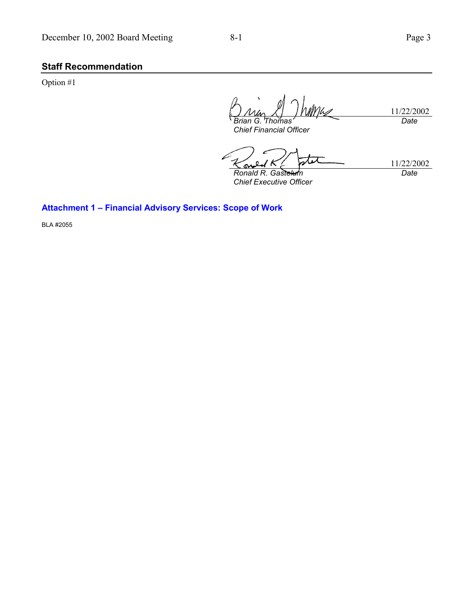## **Staff Recommendation**

Option #1

11/22/2002 *Brian G. Thoi Date*

*Chief Financial Officer*

11/22/2002 *Ronald R. Gastelum Date*

*Chief Executive Officer*

## Attachment 1 - Financial Advisory Services: Scope of Work

BLA #2055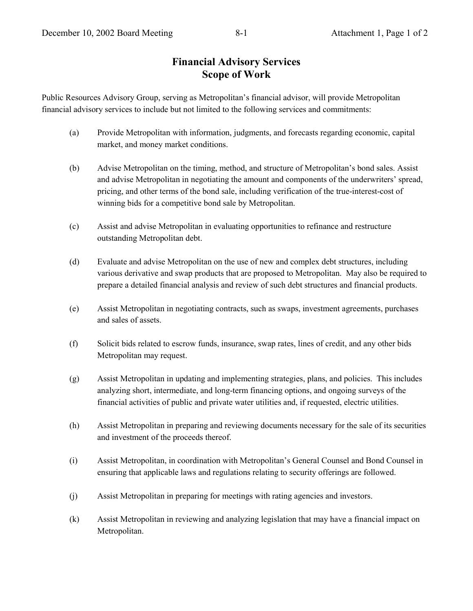# **Financial Advisory Services Scope of Work**

Public Resources Advisory Group, serving as Metropolitan's financial advisor, will provide Metropolitan financial advisory services to include but not limited to the following services and commitments:

- (a) Provide Metropolitan with information, judgments, and forecasts regarding economic, capital market, and money market conditions.
- (b) Advise Metropolitan on the timing, method, and structure of Metropolitan's bond sales. Assist and advise Metropolitan in negotiating the amount and components of the underwriters' spread, pricing, and other terms of the bond sale, including verification of the true-interest-cost of winning bids for a competitive bond sale by Metropolitan.
- (c) Assist and advise Metropolitan in evaluating opportunities to refinance and restructure outstanding Metropolitan debt.
- (d) Evaluate and advise Metropolitan on the use of new and complex debt structures, including various derivative and swap products that are proposed to Metropolitan. May also be required to prepare a detailed financial analysis and review of such debt structures and financial products.
- (e) Assist Metropolitan in negotiating contracts, such as swaps, investment agreements, purchases and sales of assets.
- (f) Solicit bids related to escrow funds, insurance, swap rates, lines of credit, and any other bids Metropolitan may request.
- (g) Assist Metropolitan in updating and implementing strategies, plans, and policies. This includes analyzing short, intermediate, and long-term financing options, and ongoing surveys of the financial activities of public and private water utilities and, if requested, electric utilities.
- (h) Assist Metropolitan in preparing and reviewing documents necessary for the sale of its securities and investment of the proceeds thereof.
- (i) Assist Metropolitan, in coordination with Metropolitan's General Counsel and Bond Counsel in ensuring that applicable laws and regulations relating to security offerings are followed.
- (j) Assist Metropolitan in preparing for meetings with rating agencies and investors.
- (k) Assist Metropolitan in reviewing and analyzing legislation that may have a financial impact on Metropolitan.